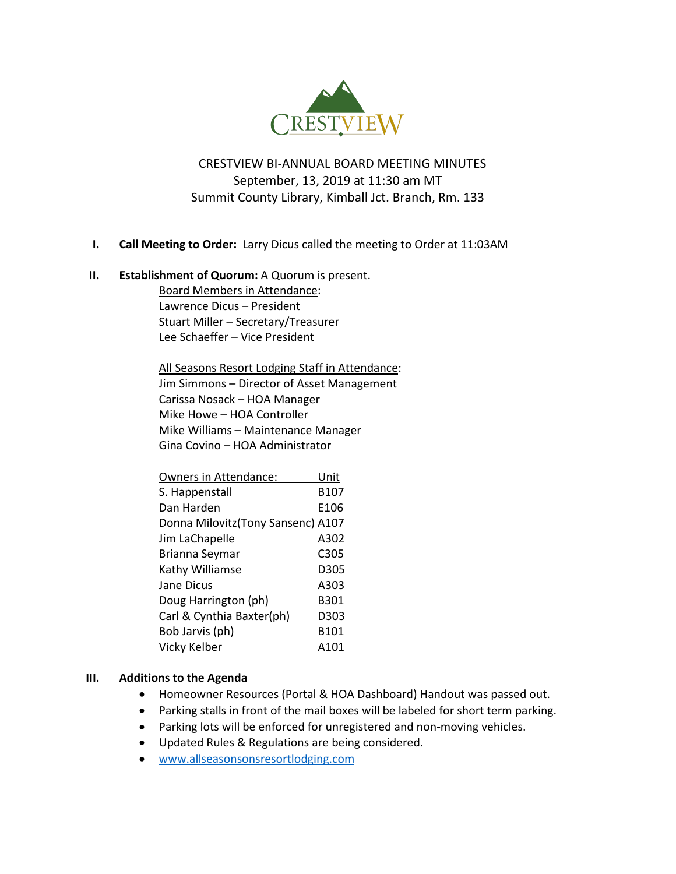

# CRESTVIEW BI-ANNUAL BOARD MEETING MINUTES September, 13, 2019 at 11:30 am MT Summit County Library, Kimball Jct. Branch, Rm. 133

## **I. Call Meeting to Order:** Larry Dicus called the meeting to Order at 11:03AM

#### **II. Establishment of Quorum:** A Quorum is present.

Board Members in Attendance: Lawrence Dicus – President Stuart Miller – Secretary/Treasurer Lee Schaeffer – Vice President

All Seasons Resort Lodging Staff in Attendance: Jim Simmons – Director of Asset Management Carissa Nosack – HOA Manager Mike Howe – HOA Controller Mike Williams – Maintenance Manager Gina Covino – HOA Administrator

| Owners in Attendance:              | Unit |
|------------------------------------|------|
| S. Happenstall                     | B107 |
| Dan Harden                         | E106 |
| Donna Milovitz (Tony Sansenc) A107 |      |
| Jim LaChapelle                     | A302 |
| Brianna Seymar                     | C305 |
| Kathy Williamse                    | D305 |
| Jane Dicus                         | A303 |
| Doug Harrington (ph)               | B301 |
| Carl & Cynthia Baxter(ph)          | D303 |
| Bob Jarvis (ph)                    | B101 |
| Vicky Kelber                       | A101 |

#### **III. Additions to the Agenda**

- Homeowner Resources (Portal & HOA Dashboard) Handout was passed out.
- Parking stalls in front of the mail boxes will be labeled for short term parking.
- Parking lots will be enforced for unregistered and non-moving vehicles.
- Updated Rules & Regulations are being considered.
- [www.allseasonsonsresortlodging.com](http://www.allseasonsonsresortlodging.com/)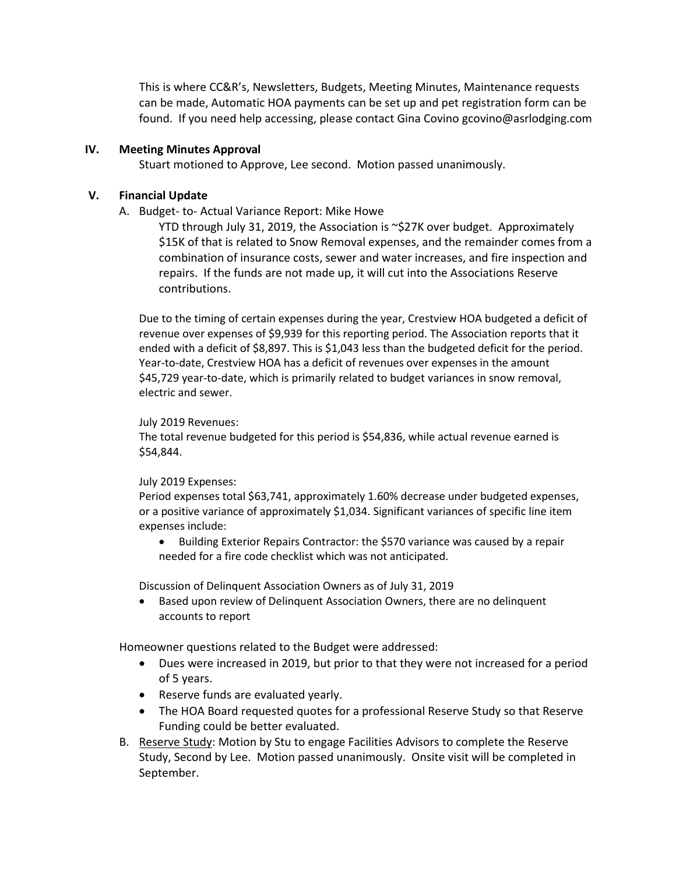This is where CC&R's, Newsletters, Budgets, Meeting Minutes, Maintenance requests can be made, Automatic HOA payments can be set up and pet registration form can be found. If you need help accessing, please contact Gina Covino gcovino@asrlodging.com

#### **IV. Meeting Minutes Approval**

Stuart motioned to Approve, Lee second. Motion passed unanimously.

#### **V. Financial Update**

A. Budget- to- Actual Variance Report: Mike Howe

YTD through July 31, 2019, the Association is  $\sim$ \$27K over budget. Approximately \$15K of that is related to Snow Removal expenses, and the remainder comes from a combination of insurance costs, sewer and water increases, and fire inspection and repairs. If the funds are not made up, it will cut into the Associations Reserve contributions.

Due to the timing of certain expenses during the year, Crestview HOA budgeted a deficit of revenue over expenses of \$9,939 for this reporting period. The Association reports that it ended with a deficit of \$8,897. This is \$1,043 less than the budgeted deficit for the period. Year-to-date, Crestview HOA has a deficit of revenues over expenses in the amount \$45,729 year-to-date, which is primarily related to budget variances in snow removal, electric and sewer.

#### July 2019 Revenues:

The total revenue budgeted for this period is \$54,836, while actual revenue earned is \$54,844.

#### July 2019 Expenses:

Period expenses total \$63,741, approximately 1.60% decrease under budgeted expenses, or a positive variance of approximately \$1,034. Significant variances of specific line item expenses include:

• Building Exterior Repairs Contractor: the \$570 variance was caused by a repair needed for a fire code checklist which was not anticipated.

Discussion of Delinquent Association Owners as of July 31, 2019

• Based upon review of Delinquent Association Owners, there are no delinquent accounts to report

Homeowner questions related to the Budget were addressed:

- Dues were increased in 2019, but prior to that they were not increased for a period of 5 years.
- Reserve funds are evaluated yearly.
- The HOA Board requested quotes for a professional Reserve Study so that Reserve Funding could be better evaluated.
- B. Reserve Study: Motion by Stu to engage Facilities Advisors to complete the Reserve Study, Second by Lee. Motion passed unanimously. Onsite visit will be completed in September.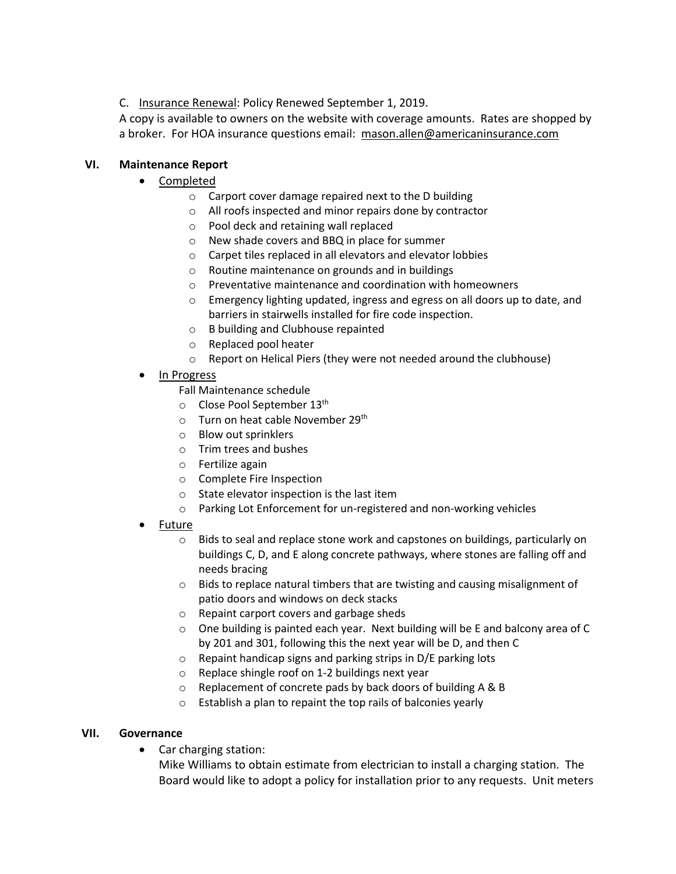C. Insurance Renewal: Policy Renewed September 1, 2019.

A copy is available to owners on the website with coverage amounts. Rates are shopped by a broker. For HOA insurance questions email: mason.allen@americaninsurance.com

# **VI. Maintenance Report**

- Completed
	- o Carport cover damage repaired next to the D building
	- o All roofs inspected and minor repairs done by contractor
	- o Pool deck and retaining wall replaced
	- o New shade covers and BBQ in place for summer
	- o Carpet tiles replaced in all elevators and elevator lobbies
	- o Routine maintenance on grounds and in buildings
	- o Preventative maintenance and coordination with homeowners
	- $\circ$  Emergency lighting updated, ingress and egress on all doors up to date, and barriers in stairwells installed for fire code inspection.
	- o B building and Clubhouse repainted
	- o Replaced pool heater
	- o Report on Helical Piers (they were not needed around the clubhouse)
- In Progress
	- Fall Maintenance schedule
	- $\circ$  Close Pool September 13<sup>th</sup>
	- $\circ$  Turn on heat cable November 29<sup>th</sup>
	- o Blow out sprinklers
	- o Trim trees and bushes
	- o Fertilize again
	- o Complete Fire Inspection
	- o State elevator inspection is the last item
	- o Parking Lot Enforcement for un-registered and non-working vehicles
- Future
	- o Bids to seal and replace stone work and capstones on buildings, particularly on buildings C, D, and E along concrete pathways, where stones are falling off and needs bracing
	- $\circ$  Bids to replace natural timbers that are twisting and causing misalignment of patio doors and windows on deck stacks
	- o Repaint carport covers and garbage sheds
	- $\circ$  One building is painted each year. Next building will be E and balcony area of C by 201 and 301, following this the next year will be D, and then C
	- o Repaint handicap signs and parking strips in D/E parking lots
	- o Replace shingle roof on 1-2 buildings next year
	- o Replacement of concrete pads by back doors of building A & B
	- o Establish a plan to repaint the top rails of balconies yearly

## **VII. Governance**

• Car charging station:

Mike Williams to obtain estimate from electrician to install a charging station. The Board would like to adopt a policy for installation prior to any requests. Unit meters